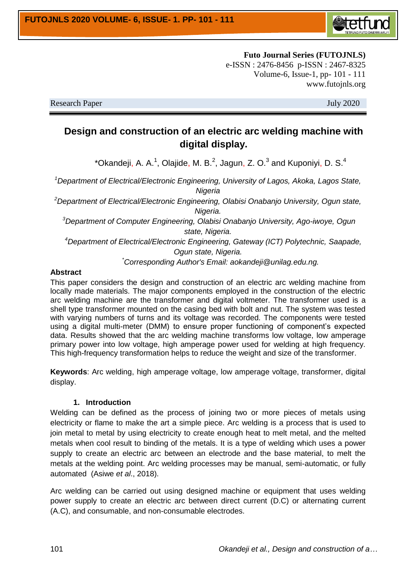

**Futo Journal Series (FUTOJNLS)** e-ISSN : 2476-8456 p-ISSN : 2467-8325 Volume-6, Issue-1, pp- 101 - 111 www.futojnls.org

Research Paper July 2020

# **Design and construction of an electric arc welding machine with digital display.**

\*Okandeji, A. A.<sup>1</sup>, Olajide, M. B.<sup>2</sup>, Jagun, Z. O.<sup>3</sup> and Kuponiyi, D. S.<sup>4</sup>

*<sup>1</sup>Department of Electrical/Electronic Engineering, University of Lagos, Akoka, Lagos State, Nigeria*

*<sup>2</sup>Department of Electrical/Electronic Engineering, Olabisi Onabanjo University, Ogun state, Nigeria.*

*<sup>3</sup>Department of Computer Engineering, Olabisi Onabanjo University, Ago-iwoye, Ogun state, Nigeria.* 

*<sup>4</sup>Department of Electrical/Electronic Engineering, Gateway (ICT) Polytechnic, Saapade, Ogun state, Nigeria.*

*\*Corresponding Author's Email: aokandeji@unilag.edu.ng.*

#### **Abstract**

This paper considers the design and construction of an electric arc welding machine from locally made materials. The major components employed in the construction of the electric arc welding machine are the transformer and digital voltmeter. The transformer used is a shell type transformer mounted on the casing bed with bolt and nut. The system was tested with varying numbers of turns and its voltage was recorded. The components were tested using a digital multi-meter (DMM) to ensure proper functioning of component's expected data. Results showed that the arc welding machine transforms low voltage, low amperage primary power into low voltage, high amperage power used for welding at high frequency. This high-frequency transformation helps to reduce the weight and size of the transformer.

**Keywords**: Arc welding, high amperage voltage, low amperage voltage, transformer, digital display.

#### **1. Introduction**

Welding can be defined as the process of joining two or more pieces of metals using electricity or flame to make the art a simple piece. Arc welding is a process that is used to join metal to metal by using electricity to create enough heat to melt metal, and the melted metals when cool result to binding of the metals. It is a type of welding which uses a power supply to create an electric arc between an electrode and the base material, to melt the metals at the welding point. Arc welding processes may be manual, semi-automatic, or fully automated (Asiwe *et al*., 2018).

Arc welding can be carried out using designed machine or equipment that uses welding power supply to create an electric arc between direct current (D.C) or alternating current (A.C), and consumable, and non-consumable electrodes.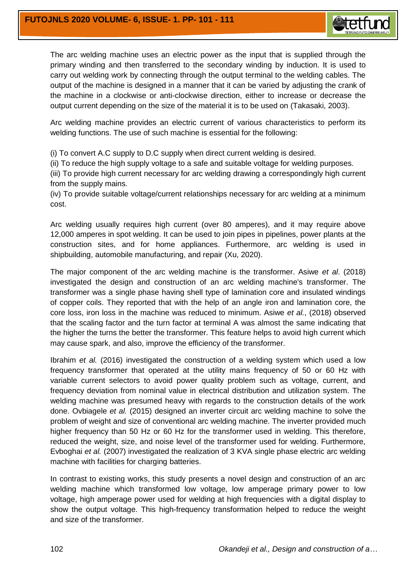

The arc welding machine uses an electric power as the input that is supplied through the primary winding and then transferred to the secondary winding by induction. It is used to carry out welding work by connecting through the output terminal to the welding cables. The output of the machine is designed in a manner that it can be varied by adjusting the crank of the machine in a clockwise or anti-clockwise direction, either to increase or decrease the output current depending on the size of the material it is to be used on (Takasaki, 2003).

Arc welding machine provides an electric current of various characteristics to perform its welding functions. The use of such machine is essential for the following:

(i) To convert A.C supply to D.C supply when direct current welding is desired.

(ii) To reduce the high supply voltage to a safe and suitable voltage for welding purposes.

(iii) To provide high current necessary for arc welding drawing a correspondingly high current from the supply mains.

(iv) To provide suitable voltage/current relationships necessary for arc welding at a minimum cost.

Arc welding usually requires high current (over 80 amperes), and it may require above 12,000 amperes in spot welding. It can be used to join pipes in pipelines, power plants at the construction sites, and for home appliances. Furthermore, arc welding is used in shipbuilding, automobile manufacturing, and repair (Xu, 2020).

The major component of the arc welding machine is the transformer. Asiwe *et al*. (2018) investigated the design and construction of an arc welding machine's transformer. The transformer was a single phase having shell type of lamination core and insulated windings of copper coils. They reported that with the help of an angle iron and lamination core, the core loss, iron loss in the machine was reduced to minimum. Asiwe *et al.*, (2018) observed that the scaling factor and the turn factor at terminal A was almost the same indicating that the higher the turns the better the transformer. This feature helps to avoid high current which may cause spark, and also, improve the efficiency of the transformer.

Ibrahim *et al.* (2016) investigated the construction of a welding system which used a low frequency transformer that operated at the utility mains frequency of 50 or 60 Hz with variable current selectors to avoid power quality problem such as voltage, current, and frequency deviation from nominal value in electrical distribution and utilization system. The welding machine was presumed heavy with regards to the construction details of the work done. Ovbiagele *et al.* (2015) designed an inverter circuit arc welding machine to solve the problem of weight and size of conventional arc welding machine. The inverter provided much higher frequency than 50 Hz or 60 Hz for the transformer used in welding. This therefore, reduced the weight, size, and noise level of the transformer used for welding. Furthermore, Evboghai *et al.* (2007) investigated the realization of 3 KVA single phase electric arc welding machine with facilities for charging batteries.

In contrast to existing works, this study presents a novel design and construction of an arc welding machine which transformed low voltage, low amperage primary power to low voltage, high amperage power used for welding at high frequencies with a digital display to show the output voltage. This high-frequency transformation helped to reduce the weight and size of the transformer.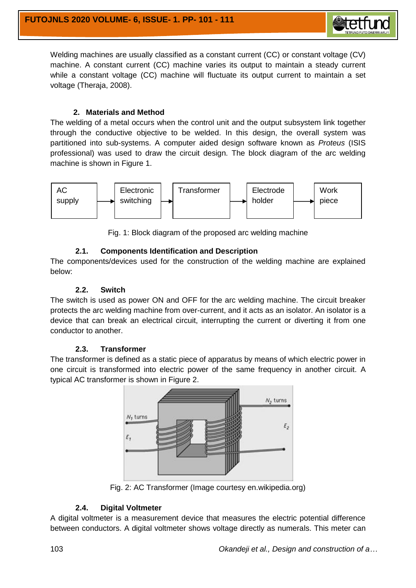

# **2. Materials and Method**

The welding of a metal occurs when the control unit and the output subsystem link together through the conductive objective to be welded. In this design, the overall system was partitioned into sub-systems. A computer aided design software known as *Proteus* (ISIS professional) was used to draw the circuit design. The block diagram of the arc welding machine is shown in Figure 1.



Fig. 1: Block diagram of the proposed arc welding machine

# **2.1. Components Identification and Description**

The components/devices used for the construction of the welding machine are explained below:

#### **2.2. Switch**

The switch is used as power ON and OFF for the arc welding machine. The circuit breaker protects the arc welding machine from over-current, and it acts as an isolator. An isolator is a device that can break an electrical circuit, interrupting the current or diverting it from one conductor to another.

#### **2.3. Transformer**

The transformer is defined as a static piece of apparatus by means of which electric power in one circuit is transformed into electric power of the same frequency in another circuit. A typical AC transformer is shown in Figure 2.



Fig. 2: AC Transformer (Image courtesy en.wikipedia.org)

# **2.4. Digital Voltmeter**

A digital voltmeter is a measurement device that measures the electric potential difference between conductors. A digital voltmeter shows voltage directly as numerals. This meter can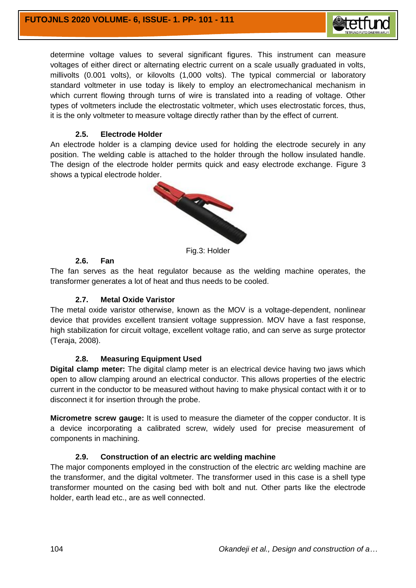

determine voltage values to several significant figures. This instrument can measure voltages of either direct or alternating electric current on a scale usually graduated in volts, millivolts (0.001 volts), or kilovolts (1,000 volts). The typical commercial or laboratory standard voltmeter in use today is likely to employ an electromechanical mechanism in which current flowing through turns of wire is translated into a reading of voltage. Other types of voltmeters include the electrostatic voltmeter, which uses electrostatic forces, thus, it is the only voltmeter to measure voltage directly rather than by the effect of current.

# **2.5. Electrode Holder**

An electrode holder is a clamping device used for holding the electrode securely in any position. The welding cable is attached to the holder through the hollow insulated handle. The design of the electrode holder permits quick and easy electrode exchange. Figure 3 shows a typical electrode holder.



Fig.3: Holder

#### **2.6. Fan**

The fan serves as the heat regulator because as the welding machine operates, the transformer generates a lot of heat and thus needs to be cooled.

#### **2.7. Metal Oxide Varistor**

The metal oxide varistor otherwise, known as the MOV is a voltage-dependent, nonlinear device that provides excellent transient voltage suppression. MOV have a fast response, high stabilization for circuit voltage, excellent voltage ratio, and can serve as surge protector (Teraja, 2008).

#### **2.8. Measuring Equipment Used**

**Digital clamp meter:** The digital clamp meter is an electrical device having two jaws which open to allow clamping around an electrical conductor. This allows properties of the electric current in the conductor to be measured without having to make physical contact with it or to disconnect it for insertion through the probe.

**Micrometre screw gauge:** It is used to measure the diameter of the copper conductor. It is a device incorporating a calibrated screw, widely used for precise measurement of components in machining.

#### **2.9. Construction of an electric arc welding machine**

The major components employed in the construction of the electric arc welding machine are the transformer, and the digital voltmeter. The transformer used in this case is a shell type transformer mounted on the casing bed with bolt and nut. Other parts like the electrode holder, earth lead etc., are as well connected.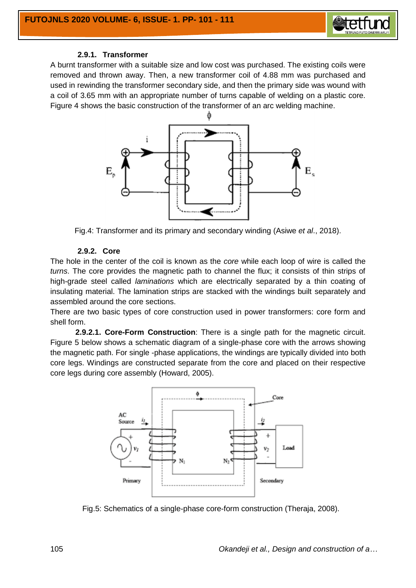

# **2.9.1. Transformer**

A burnt transformer with a suitable size and low cost was purchased. The existing coils were removed and thrown away. Then, a new transformer coil of 4.88 mm was purchased and used in rewinding the transformer secondary side, and then the primary side was wound with a coil of 3.65 mm with an appropriate number of turns capable of welding on a plastic core. Figure 4 shows the basic construction of the transformer of an arc welding machine.



Fig.4: Transformer and its primary and secondary winding (Asiwe *et al*., 2018).

#### **2.9.2. Core**

The hole in the center of the coil is known as the *core* while each loop of wire is called the *turns*. The core provides the magnetic path to channel the flux; it consists of thin strips of high-grade steel called *laminations* which are electrically separated by a thin coating of insulating material. The lamination strips are stacked with the windings built separately and assembled around the core sections.

There are two basic types of core construction used in power transformers: core form and shell form.

**2.9.2.1. Core-Form Construction**: There is a single path for the magnetic circuit. Figure 5 below shows a schematic diagram of a single-phase core with the arrows showing the magnetic path. For single -phase applications, the windings are typically divided into both core legs. Windings are constructed separate from the core and placed on their respective core legs during core assembly (Howard, 2005).



Fig.5: Schematics of a single-phase core-form construction (Theraja, 2008).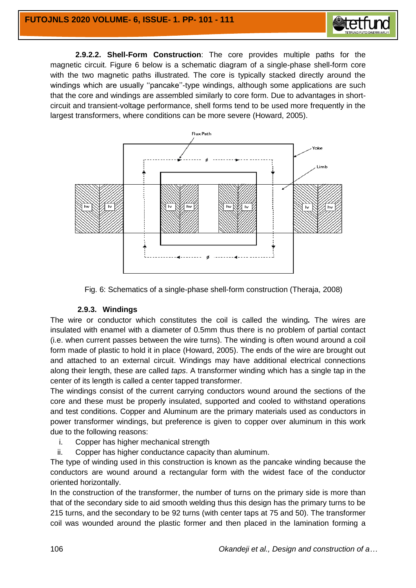

**2.9.2.2. Shell-Form Construction**: The core provides multiple paths for the magnetic circuit. Figure 6 below is a schematic diagram of a single-phase shell-form core with the two magnetic paths illustrated. The core is typically stacked directly around the windings which are usually ''pancake''-type windings, although some applications are such that the core and windings are assembled similarly to core form. Due to advantages in shortcircuit and transient-voltage performance, shell forms tend to be used more frequently in the largest transformers, where conditions can be more severe (Howard, 2005).





#### **2.9.3. Windings**

The wire or conductor which constitutes the coil is called the winding*.* The wires are insulated with enamel with a diameter of 0.5mm thus there is no problem of partial contact (i.e. when current passes between the wire turns). The winding is often wound around a coil form made of plastic to hold it in place (Howard, 2005). The ends of the wire are brought out and attached to an external circuit. Windings may have additional electrical connections along their length, these are called *taps*. A transformer winding which has a single tap in the center of its length is called a center tapped transformer.

The windings consist of the current carrying conductors wound around the sections of the core and these must be properly insulated, supported and cooled to withstand operations and test conditions. Copper and Aluminum are the primary materials used as conductors in power transformer windings, but preference is given to copper over aluminum in this work due to the following reasons:

- i. Copper has higher mechanical strength
- ii. Copper has higher conductance capacity than aluminum.

The type of winding used in this construction is known as the pancake winding because the conductors are wound around a rectangular form with the widest face of the conductor oriented horizontally.

In the construction of the transformer, the number of turns on the primary side is more than that of the secondary side to aid smooth welding thus this design has the primary turns to be 215 turns, and the secondary to be 92 turns (with center taps at 75 and 50). The transformer coil was wounded around the plastic former and then placed in the lamination forming a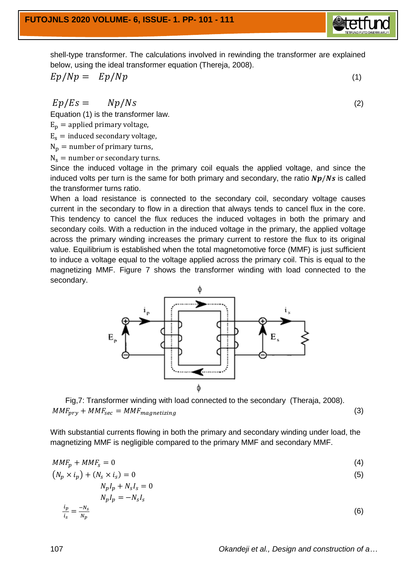shell-type transformer. The calculations involved in rewinding the transformer are explained below, using the ideal transformer equation (Thereja, 2008).

$$
Ep/Np = Ep/Np \tag{1}
$$

 $Ep/Es = Np/Ns$  (2)

Equation (1) is the transformer law.

 $E_p =$  applied primary voltage,

 $E_s$  = induced secondary voltage,

 $N_p$  = number of primary turns,

 $(N_p)$ 

 $N_s$  = number or secondary turns.

Since the induced voltage in the primary coil equals the applied voltage, and since the induced volts per turn is the same for both primary and secondary, the ratio  $Np/Ns$  is called the transformer turns ratio.

When a load resistance is connected to the secondary coil, secondary voltage causes current in the secondary to flow in a direction that always tends to cancel flux in the core. This tendency to cancel the flux reduces the induced voltages in both the primary and secondary coils. With a reduction in the induced voltage in the primary, the applied voltage across the primary winding increases the primary current to restore the flux to its original value. Equilibrium is established when the total magnetomotive force (MMF) is just sufficient to induce a voltage equal to the voltage applied across the primary coil. This is equal to the magnetizing MMF. Figure 7 shows the transformer winding with load connected to the secondary.



With substantial currents flowing in both the primary and secondary winding under load, the magnetizing MMF is negligible compared to the primary MMF and secondary MMF.

$$
MMF_p + MMF_s = 0 \tag{4}
$$

$$
\times i_p + (N_s \times i_s) = 0
$$
  
\n
$$
N_p I_p + N_s I_s = 0
$$
\n(5)

$$
N_p I_p = -N_s I_s
$$
  
\n
$$
\frac{i_p}{i_s} = \frac{-N_s}{N_p}
$$
 (6)

107 *Okandeji et al., Design and construction of a…*

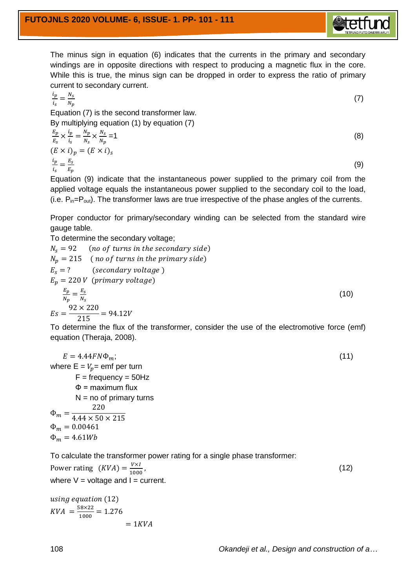

The minus sign in equation (6) indicates that the currents in the primary and secondary windings are in opposite directions with respect to producing a magnetic flux in the core. While this is true, the minus sign can be dropped in order to express the ratio of primary current to secondary current.

$$
\frac{i_p}{i_s} = \frac{N_s}{N_p} \tag{7}
$$

Equation (7) is the second transformer law. By multiplying equation (1) by equation (7)

$$
\frac{E_p}{E_s} \times \frac{i_p}{i_s} = \frac{N_p}{N_s} \times \frac{N_s}{N_p} = 1
$$
\n
$$
(E \times i)_p = (E \times i)_s
$$
\n
$$
\frac{i_p}{i_s} = \frac{E_s}{E_p}
$$
\n(9)

Equation (9) indicate that the instantaneous power supplied to the primary coil from the applied voltage equals the instantaneous power supplied to the secondary coil to the load, (i.e.  $P_{in}=P_{out}$ ). The transformer laws are true irrespective of the phase angles of the currents.

Proper conductor for primary/secondary winding can be selected from the standard wire gauge table*.* 

To determine the secondary voltage;

$$
N_s = 92 \t (no of turns in the secondary side)
$$
  
\n
$$
N_p = 215 \t (no of turns in the primary side)
$$
  
\n
$$
E_s = ? \t (secondary voltage)
$$
  
\n
$$
E_p = 220 V \t (primary voltage)
$$
  
\n
$$
\frac{E_p}{N_p} = \frac{E_s}{N_s}
$$
  
\n
$$
E_s = \frac{92 \times 220}{215} = 94.12V
$$
\n(10)

To determine the flux of the transformer, consider the use of the electromotive force (emf) equation (Theraja, 2008).

$$
E = 4.44FN\Phi_m;
$$
  
where E =  $V_p$  = emf per turn  
F = frequency = 50Hz  
 $\Phi$  = maximum flux  
N = no of primary turns  
 $\Phi_m = \frac{220}{4.44 \times 50 \times 215}$   
 $\Phi_m = 0.00461$   
 $\Phi_m = 4.61Wb$ 

To calculate the transformer power rating for a single phase transformer:

Power rating 
$$
(KVA) = \frac{V \times I}{1000}
$$
,  
where V = voltage and I = current. (12)

using equation (12)  

$$
KVA = \frac{58 \times 22}{1000} = 1.276
$$
  
 $= 1KVA$ 

108 *Okandeji et al., Design and construction of a…*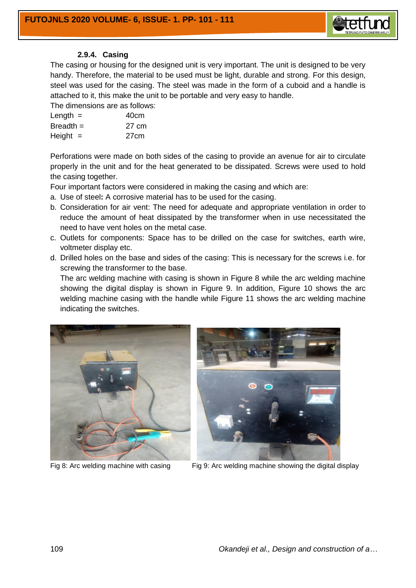

#### **2.9.4. Casing**

The casing or housing for the designed unit is very important. The unit is designed to be very handy. Therefore, the material to be used must be light, durable and strong. For this design, steel was used for the casing. The steel was made in the form of a cuboid and a handle is attached to it, this make the unit to be portable and very easy to handle.

The dimensions are as follows:

| Length $=$  | 40cm  |
|-------------|-------|
| $Breadth =$ | 27 cm |
| Height $=$  | 27cm  |

Perforations were made on both sides of the casing to provide an avenue for air to circulate properly in the unit and for the heat generated to be dissipated. Screws were used to hold the casing together.

Four important factors were considered in making the casing and which are:

- a. Use of steel**:** A corrosive material has to be used for the casing.
- b. Consideration for air vent: The need for adequate and appropriate ventilation in order to reduce the amount of heat dissipated by the transformer when in use necessitated the need to have vent holes on the metal case.
- c. Outlets for components: Space has to be drilled on the case for switches, earth wire, voltmeter display etc.
- d. Drilled holes on the base and sides of the casing: This is necessary for the screws i.e. for screwing the transformer to the base.

The arc welding machine with casing is shown in Figure 8 while the arc welding machine showing the digital display is shown in Figure 9. In addition, Figure 10 shows the arc welding machine casing with the handle while Figure 11 shows the arc welding machine indicating the switches.







Fig 8: Arc welding machine with casing Fig 9: Arc welding machine showing the digital display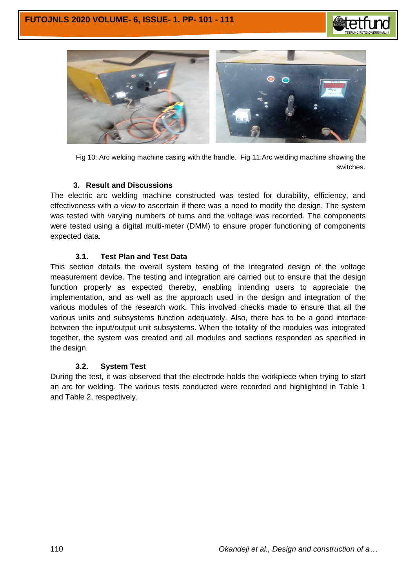



Fig 10: Arc welding machine casing with the handle. Fig 11:Arc welding machine showing the switches.

#### **3. Result and Discussions**

The electric arc welding machine constructed was tested for durability, efficiency, and effectiveness with a view to ascertain if there was a need to modify the design. The system was tested with varying numbers of turns and the voltage was recorded. The components were tested using a digital multi-meter (DMM) to ensure proper functioning of components expected data.

# **3.1. Test Plan and Test Data**

This section details the overall system testing of the integrated design of the voltage measurement device. The testing and integration are carried out to ensure that the design function properly as expected thereby, enabling intending users to appreciate the implementation, and as well as the approach used in the design and integration of the various modules of the research work. This involved checks made to ensure that all the various units and subsystems function adequately. Also, there has to be a good interface between the input/output unit subsystems. When the totality of the modules was integrated together, the system was created and all modules and sections responded as specified in the design.

#### **3.2. System Test**

During the test, it was observed that the electrode holds the workpiece when trying to start an arc for welding. The various tests conducted were recorded and highlighted in Table 1 and Table 2, respectively.